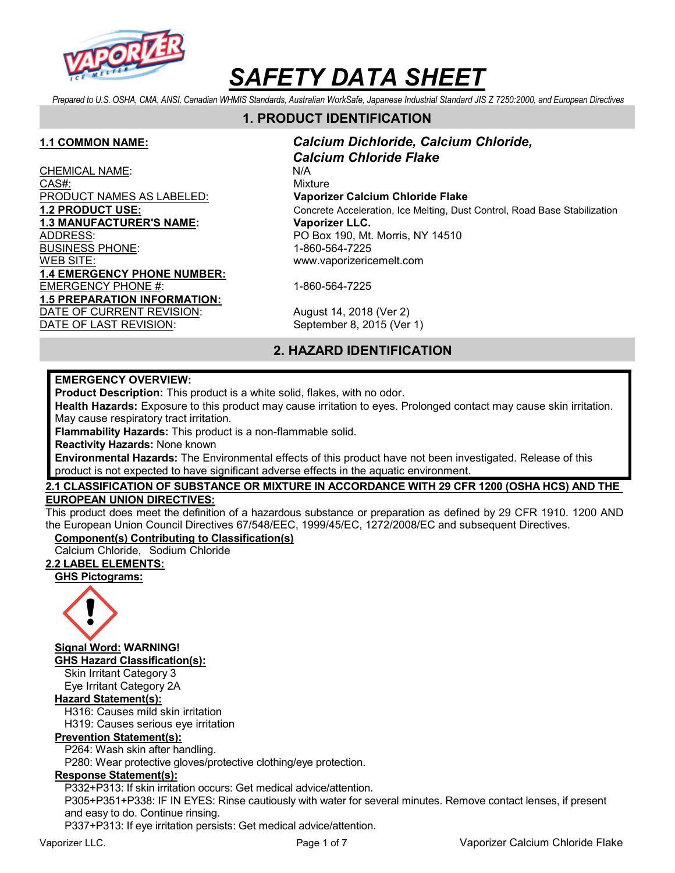

Prepared to U.S. OSHA, CMA, ANSI, Canadian WHMIS Standards, Australian WorkSafe, Japanese Industrial Standard JIS Z 7250:2000, and European Directives

## 1. PRODUCT IDENTIFICATION

CHEMICAL NAME: N/A CAS#: Wixture PRODUCT NAMES AS LABELED: Vaporizer Calcium Chloride Flake 1.3 MANUFACTURER'S NAME: Vaporizer LLC. ADDRESS: PO Box 190, Mt. Morris, NY 14510 BUSINESS PHONE: 1-860-564-7225 WEB SITE: www.vaporizericemelt.com 1.4 EMERGENCY PHONE NUMBER: EMERGENCY PHONE #: 1-860-564-7225 1.5 PREPARATION INFORMATION: DATE OF CURRENT REVISION: August 14, 2018 (Ver 2)

1.1 COMMON NAME: Calcium Dichloride, Calcium Chloride, Calcium Chloride Flake 1.2 PRODUCT USE: Concrete Acceleration, Ice Melting, Dust Control, Road Base Stabilization

DATE OF LAST REVISION: September 8, 2015 (Ver 1)

## 2. HAZARD IDENTIFICATION

## EMERGENCY OVERVIEW:

Product Description: This product is a white solid, flakes, with no odor.

Health Hazards: Exposure to this product may cause irritation to eyes. Prolonged contact may cause skin irritation. May cause respiratory tract irritation.

Flammability Hazards: This product is a non-flammable solid.

Reactivity Hazards: None known

Environmental Hazards: The Environmental effects of this product have not been investigated. Release of this product is not expected to have significant adverse effects in the aquatic environment.

## 2.1 CLASSIFICATION OF SUBSTANCE OR MIXTURE IN ACCORDANCE WITH 29 CFR 1200 (OSHA HCS) AND THE EUROPEAN UNION DIRECTIVES:

This product does meet the definition of a hazardous substance or preparation as defined by 29 CFR 1910. 1200 AND the European Union Council Directives 67/548/EEC, 1999/45/EC, 1272/2008/EC and subsequent Directives.

#### Component(s) Contributing to Classification(s)

Calcium Chloride, Sodium Chloride

## 2.2 LABEL ELEMENTS:

GHS Pictograms:



Signal Word: WARNING! GHS Hazard Classification(s):

Skin Irritant Category 3 Eye Irritant Category 2A

## Hazard Statement(s):

H316: Causes mild skin irritation

H319: Causes serious eye irritation

### Prevention Statement(s):

P264: Wash skin after handling.

P280: Wear protective gloves/protective clothing/eye protection.

## Response Statement(s):

P332+P313: If skin irritation occurs: Get medical advice/attention.

P305+P351+P338: IF IN EYES: Rinse cautiously with water for several minutes. Remove contact lenses, if present and easy to do. Continue rinsing.

P337+P313: If eye irritation persists: Get medical advice/attention.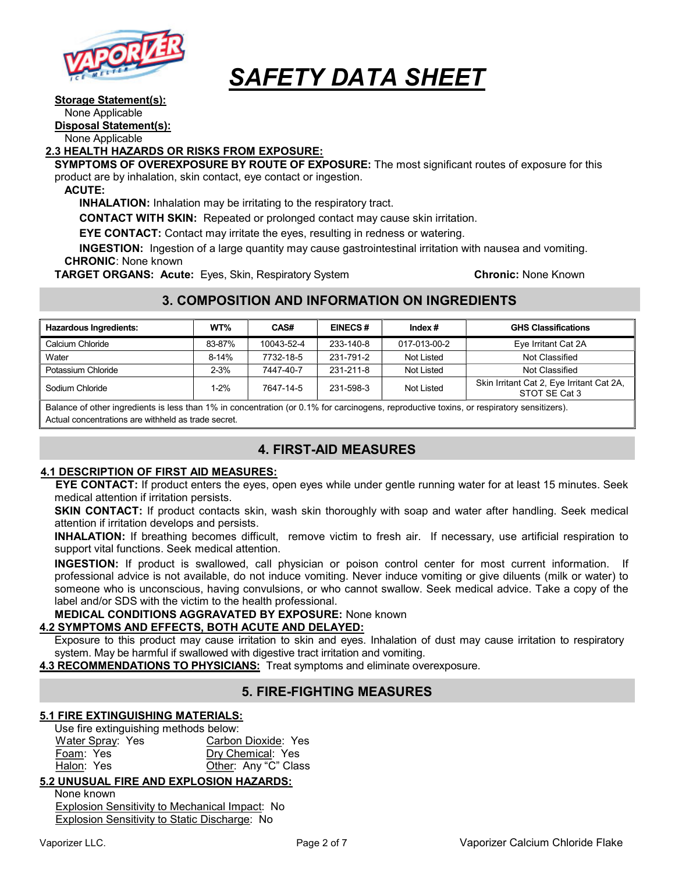

## Storage Statement(s):

None Applicable

Disposal Statement(s):

None Applicable

## 2.3 HEALTH HAZARDS OR RISKS FROM EXPOSURE:

SYMPTOMS OF OVEREXPOSURE BY ROUTE OF EXPOSURE: The most significant routes of exposure for this product are by inhalation, skin contact, eye contact or ingestion.

ACUTE:

INHALATION: Inhalation may be irritating to the respiratory tract.

CONTACT WITH SKIN: Repeated or prolonged contact may cause skin irritation.

EYE CONTACT: Contact may irritate the eyes, resulting in redness or watering.

INGESTION: Ingestion of a large quantity may cause gastrointestinal irritation with nausea and vomiting. CHRONIC: None known

**TARGET ORGANS: Acute:** Eyes, Skin, Respiratory System **Chronic: None Known** Chronic: None Known

## 3. COMPOSITION AND INFORMATION ON INGREDIENTS

| <b>Hazardous Ingredients:</b> | WT%      | CAS#       | <b>EINECS#</b> | Index $#$    | <b>GHS Classifications</b>                                 |
|-------------------------------|----------|------------|----------------|--------------|------------------------------------------------------------|
| Calcium Chloride              | 83-87%   | 10043-52-4 | 233-140-8      | 017-013-00-2 | Eye Irritant Cat 2A                                        |
| Water                         | $8-14%$  | 7732-18-5  | 231-791-2      | Not Listed   | Not Classified                                             |
| Potassium Chloride            | $2 - 3%$ | 7447-40-7  | 231-211-8      | Not Listed   | Not Classified                                             |
| Sodium Chloride               | 1-2%     | 7647-14-5  | 231-598-3      | Not Listed   | Skin Irritant Cat 2, Eye Irritant Cat 2A,<br>STOT SE Cat 3 |

Balance of other ingredients is less than 1% in concentration (or 0.1% for carcinogens, reproductive toxins, or respiratory sensitizers). Actual concentrations are withheld as trade secret.

## 4. FIRST-AID MEASURES

## 4.1 DESCRIPTION OF FIRST AID MEASURES:

EYE CONTACT: If product enters the eyes, open eyes while under gentle running water for at least 15 minutes. Seek medical attention if irritation persists.

SKIN CONTACT: If product contacts skin, wash skin thoroughly with soap and water after handling. Seek medical attention if irritation develops and persists.

INHALATION: If breathing becomes difficult, remove victim to fresh air. If necessary, use artificial respiration to support vital functions. Seek medical attention.

INGESTION: If product is swallowed, call physician or poison control center for most current information. If professional advice is not available, do not induce vomiting. Never induce vomiting or give diluents (milk or water) to someone who is unconscious, having convulsions, or who cannot swallow. Seek medical advice. Take a copy of the label and/or SDS with the victim to the health professional.

MEDICAL CONDITIONS AGGRAVATED BY EXPOSURE: None known

## 4.2 SYMPTOMS AND EFFECTS, BOTH ACUTE AND DELAYED:

Exposure to this product may cause irritation to skin and eyes. Inhalation of dust may cause irritation to respiratory system. May be harmful if swallowed with digestive tract irritation and vomiting.

4.3 RECOMMENDATIONS TO PHYSICIANS: Treat symptoms and eliminate overexposure.

## 5. FIRE-FIGHTING MEASURES

## 5.1 FIRE EXTINGUISHING MATERIALS:

Use fire extinguishing methods below:

Water Spray: Yes Carbon Dioxide: Yes Foam: Yes **Dry Chemical:** Yes Halon: Yes **Other: Any "C" Class** 

## 5.2 UNUSUAL FIRE AND EXPLOSION HAZARDS:

None known Explosion Sensitivity to Mechanical Impact: No Explosion Sensitivity to Static Discharge: No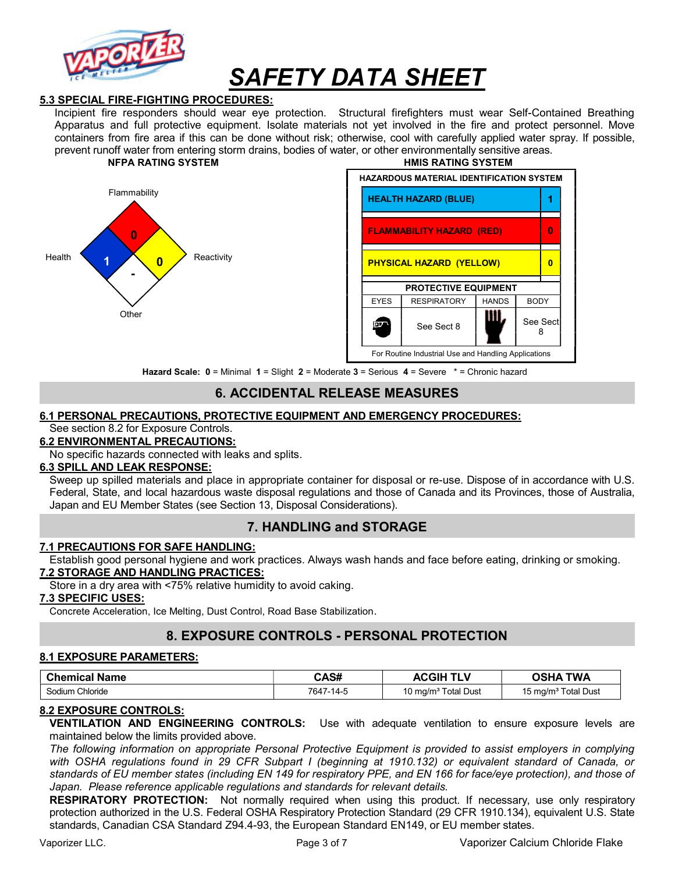

## 5.3 SPECIAL FIRE-FIGHTING PROCEDURES:

Incipient fire responders should wear eye protection. Structural firefighters must wear Self-Contained Breathing Apparatus and full protective equipment. Isolate materials not yet involved in the fire and protect personnel. Move containers from fire area if this can be done without risk; otherwise, cool with carefully applied water spray. If possible, prevent runoff water from entering storm drains, bodies of water, or other environmentally sensitive areas. NFPA RATING SYSTEM THE RESERVE THAT HAVE RATING SYSTEM





Hazard Scale: 0 = Minimal 1 = Slight 2 = Moderate 3 = Serious 4 = Severe \* = Chronic hazard

## 6. ACCIDENTAL RELEASE MEASURES

#### 6.1 PERSONAL PRECAUTIONS, PROTECTIVE EQUIPMENT AND EMERGENCY PROCEDURES:

See section 8.2 for Exposure Controls.

## 6.2 ENVIRONMENTAL PRECAUTIONS:

No specific hazards connected with leaks and splits.

## 6.3 SPILL AND LEAK RESPONSE:

Sweep up spilled materials and place in appropriate container for disposal or re-use. Dispose of in accordance with U.S. Federal, State, and local hazardous waste disposal regulations and those of Canada and its Provinces, those of Australia, Japan and EU Member States (see Section 13, Disposal Considerations).

## 7. HANDLING and STORAGE

### 7.1 PRECAUTIONS FOR SAFE HANDLING:

Establish good personal hygiene and work practices. Always wash hands and face before eating, drinking or smoking. 7.2 STORAGE AND HANDLING PRACTICES:

Store in a dry area with <75% relative humidity to avoid caking.

#### 7.3 SPECIFIC USES:

Concrete Acceleration, Ice Melting, Dust Control, Road Base Stabilization.

## 8. EXPOSURE CONTROLS - PERSONAL PROTECTION

#### 8.1 EXPOSURE PARAMETERS:

| <b>Chemical Name</b> | CAS#      | <b>ACGIH</b><br><b>TLV</b>      | <b>OSHA TWA</b>                 |
|----------------------|-----------|---------------------------------|---------------------------------|
| Sodium Chloride      | 7647-14-5 | 10 mg/m <sup>3</sup> Total Dust | 15 mg/m <sup>3</sup> Total Dust |

#### 8.2 EXPOSURE CONTROLS:

VENTILATION AND ENGINEERING CONTROLS: Use with adequate ventilation to ensure exposure levels are maintained below the limits provided above.

The following information on appropriate Personal Protective Equipment is provided to assist employers in complying with OSHA regulations found in 29 CFR Subpart I (beginning at 1910.132) or equivalent standard of Canada, or standards of EU member states (including EN 149 for respiratory PPE, and EN 166 for face/eye protection), and those of Japan. Please reference applicable regulations and standards for relevant details.

RESPIRATORY PROTECTION: Not normally required when using this product. If necessary, use only respiratory protection authorized in the U.S. Federal OSHA Respiratory Protection Standard (29 CFR 1910.134), equivalent U.S. State standards, Canadian CSA Standard Z94.4-93, the European Standard EN149, or EU member states.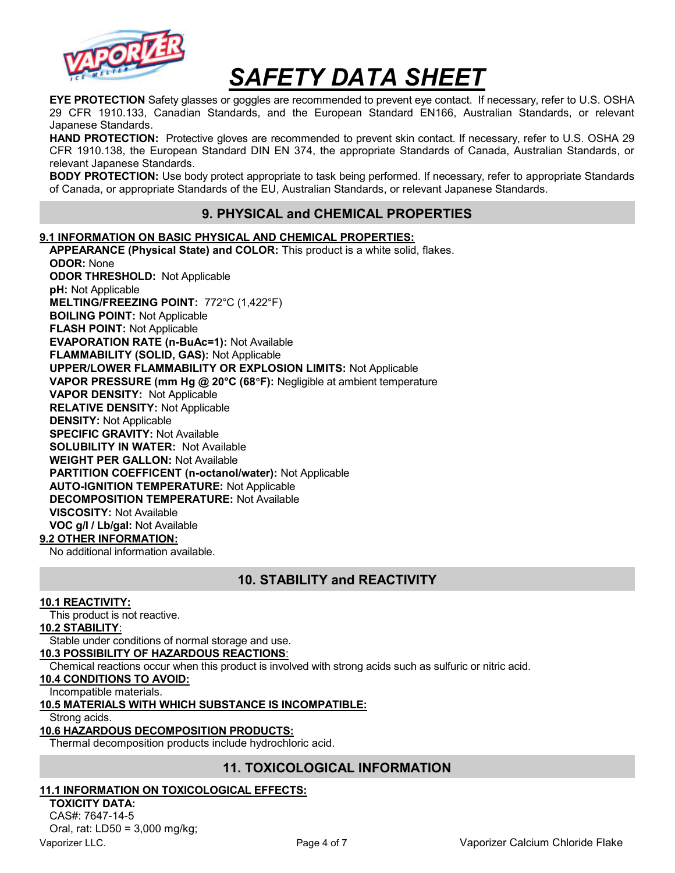

EYE PROTECTION Safety glasses or goggles are recommended to prevent eye contact. If necessary, refer to U.S. OSHA 29 CFR 1910.133, Canadian Standards, and the European Standard EN166, Australian Standards, or relevant Japanese Standards.

HAND PROTECTION: Protective gloves are recommended to prevent skin contact. If necessary, refer to U.S. OSHA 29 CFR 1910.138, the European Standard DIN EN 374, the appropriate Standards of Canada, Australian Standards, or relevant Japanese Standards.

**BODY PROTECTION:** Use body protect appropriate to task being performed. If necessary, refer to appropriate Standards of Canada, or appropriate Standards of the EU, Australian Standards, or relevant Japanese Standards.

## 9. PHYSICAL and CHEMICAL PROPERTIES

## 9.1 INFORMATION ON BASIC PHYSICAL AND CHEMICAL PROPERTIES:

APPEARANCE (Physical State) and COLOR: This product is a white solid, flakes. ODOR: None ODOR THRESHOLD: Not Applicable pH: Not Applicable MELTING/FREEZING POINT: 772°C (1,422°F) BOILING POINT: Not Applicable FLASH POINT: Not Applicable EVAPORATION RATE (n-BuAc=1): Not Available FLAMMABILITY (SOLID, GAS): Not Applicable UPPER/LOWER FLAMMABILITY OR EXPLOSION LIMITS: Not Applicable VAPOR PRESSURE (mm Hg @ 20°C (68°F): Negligible at ambient temperature VAPOR DENSITY: Not Applicable RELATIVE DENSITY: Not Applicable DENSITY: Not Applicable SPECIFIC GRAVITY: Not Available SOLUBILITY IN WATER: Not Available WEIGHT PER GALLON: Not Available PARTITION COEFFICENT (n-octanol/water): Not Applicable AUTO-IGNITION TEMPERATURE: Not Applicable DECOMPOSITION TEMPERATURE: Not Available VISCOSITY: Not Available VOC g/l / Lb/gal: Not Available

## 9.2 OTHER INFORMATION:

No additional information available.

## 10. STABILITY and REACTIVITY

## 10.1 REACTIVITY:

This product is not reactive.

#### 10.2 STABILITY:

Stable under conditions of normal storage and use.

## 10.3 POSSIBILITY OF HAZARDOUS REACTIONS:

Chemical reactions occur when this product is involved with strong acids such as sulfuric or nitric acid.

## 10.4 CONDITIONS TO AVOID:

Incompatible materials.

#### 10.5 MATERIALS WITH WHICH SUBSTANCE IS INCOMPATIBLE:

Strong acids.

## 10.6 HAZARDOUS DECOMPOSITION PRODUCTS:

Thermal decomposition products include hydrochloric acid.

## 11. TOXICOLOGICAL INFORMATION

## 11.1 INFORMATION ON TOXICOLOGICAL EFFECTS:

TOXICITY DATA: CAS#: 7647-14-5 Oral, rat: LD50 = 3,000 mg/kg;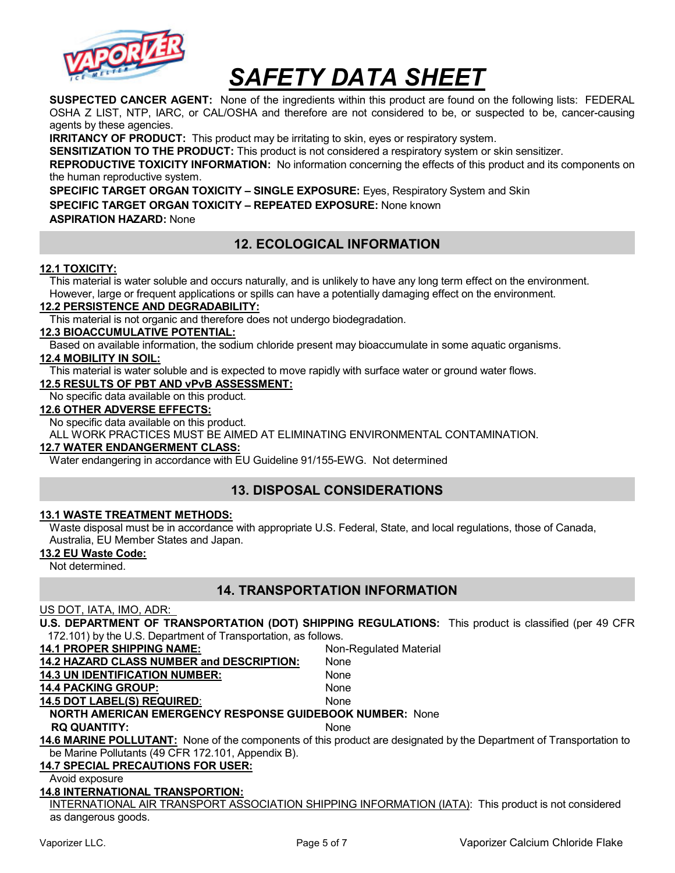

SUSPECTED CANCER AGENT: None of the ingredients within this product are found on the following lists: FEDERAL OSHA Z LIST, NTP, IARC, or CAL/OSHA and therefore are not considered to be, or suspected to be, cancer-causing agents by these agencies.

**IRRITANCY OF PRODUCT:** This product may be irritating to skin, eyes or respiratory system.

SENSITIZATION TO THE PRODUCT: This product is not considered a respiratory system or skin sensitizer.

REPRODUCTIVE TOXICITY INFORMATION: No information concerning the effects of this product and its components on the human reproductive system.

SPECIFIC TARGET ORGAN TOXICITY – SINGLE EXPOSURE: Eyes, Respiratory System and Skin SPECIFIC TARGET ORGAN TOXICITY – REPEATED EXPOSURE: None known ASPIRATION HAZARD: None

## 12. ECOLOGICAL INFORMATION

## 12.1 TOXICITY:

This material is water soluble and occurs naturally, and is unlikely to have any long term effect on the environment. However, large or frequent applications or spills can have a potentially damaging effect on the environment.

#### 12.2 PERSISTENCE AND DEGRADABILITY:

This material is not organic and therefore does not undergo biodegradation.

## 12.3 BIOACCUMULATIVE POTENTIAL:

Based on available information, the sodium chloride present may bioaccumulate in some aquatic organisms.

### 12.4 MOBILITY IN SOIL:

This material is water soluble and is expected to move rapidly with surface water or ground water flows.

#### 12.5 RESULTS OF PBT AND vPvB ASSESSMENT:

No specific data available on this product.

#### 12.6 OTHER ADVERSE EFFECTS:

No specific data available on this product.

ALL WORK PRACTICES MUST BE AIMED AT ELIMINATING ENVIRONMENTAL CONTAMINATION.

#### 12.7 WATER ENDANGERMENT CLASS:

Water endangering in accordance with EU Guideline 91/155-EWG. Not determined

## 13. DISPOSAL CONSIDERATIONS

### 13.1 WASTE TREATMENT METHODS:

Waste disposal must be in accordance with appropriate U.S. Federal, State, and local regulations, those of Canada, Australia, EU Member States and Japan.

#### 13.2 EU Waste Code:

Not determined.

## 14. TRANSPORTATION INFORMATION

#### US DOT, IATA, IMO, ADR:

U.S. DEPARTMENT OF TRANSPORTATION (DOT) SHIPPING REGULATIONS: This product is classified (per 49 CFR 172.101) by the U.S. Department of Transportation, as follows.

14.1 PROPER SHIPPING NAME: Non-Regulated Material

| 14.2 HAZARD CLASS NUMBER and DESCRIPTION: | None |
|-------------------------------------------|------|
| <b>14.3 UN IDENTIFICATION NUMBER:</b>     | None |

#### 14.4 PACKING GROUP: None

14.5 DOT LABEL(S) REQUIRED: None

## NORTH AMERICAN EMERGENCY RESPONSE GUIDEBOOK NUMBER: None

RQ QUANTITY: None

14.6 MARINE POLLUTANT: None of the components of this product are designated by the Department of Transportation to be Marine Pollutants (49 CFR 172.101, Appendix B).

## 14.7 SPECIAL PRECAUTIONS FOR USER:

Avoid exposure

#### 14.8 INTERNATIONAL TRANSPORTION:

INTERNATIONAL AIR TRANSPORT ASSOCIATION SHIPPING INFORMATION (IATA): This product is not considered as dangerous goods.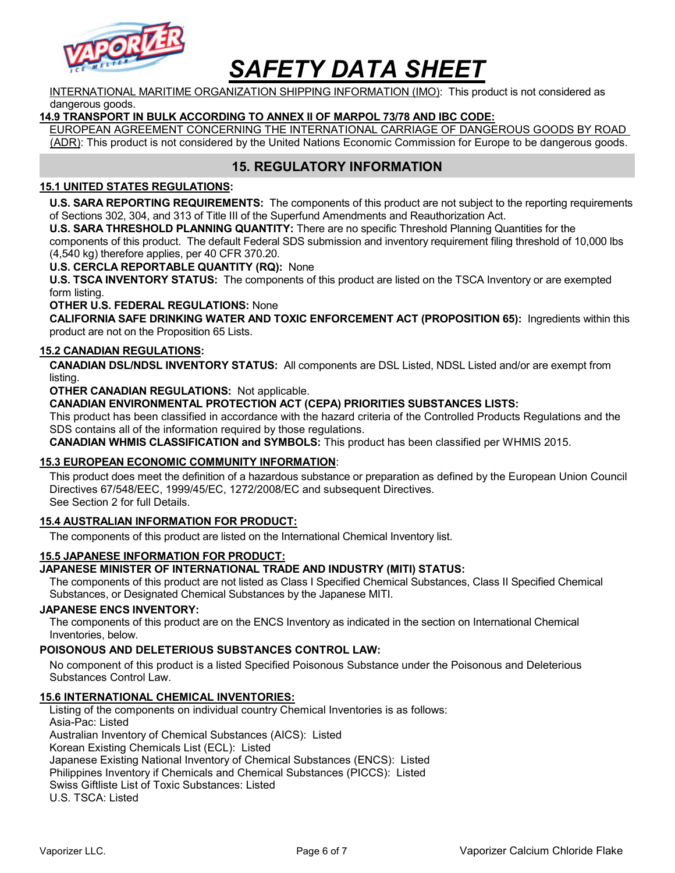

INTERNATIONAL MARITIME ORGANIZATION SHIPPING INFORMATION (IMO): This product is not considered as dangerous goods.

### 14.9 TRANSPORT IN BULK ACCORDING TO ANNEX II OF MARPOL 73/78 AND IBC CODE:

EUROPEAN AGREEMENT CONCERNING THE INTERNATIONAL CARRIAGE OF DANGEROUS GOODS BY ROAD (ADR): This product is not considered by the United Nations Economic Commission for Europe to be dangerous goods.

## 15. REGULATORY INFORMATION

## 15.1 UNITED STATES REGULATIONS:

U.S. SARA REPORTING REQUIREMENTS: The components of this product are not subject to the reporting requirements of Sections 302, 304, and 313 of Title III of the Superfund Amendments and Reauthorization Act.

U.S. SARA THRESHOLD PLANNING QUANTITY: There are no specific Threshold Planning Quantities for the

components of this product. The default Federal SDS submission and inventory requirement filing threshold of 10,000 lbs (4,540 kg) therefore applies, per 40 CFR 370.20.

U.S. CERCLA REPORTABLE QUANTITY (RQ): None

U.S. TSCA INVENTORY STATUS: The components of this product are listed on the TSCA Inventory or are exempted form listing.

OTHER U.S. FEDERAL REGULATIONS: None

CALIFORNIA SAFE DRINKING WATER AND TOXIC ENFORCEMENT ACT (PROPOSITION 65): Ingredients within this product are not on the Proposition 65 Lists.

### 15.2 CANADIAN REGULATIONS:

CANADIAN DSL/NDSL INVENTORY STATUS: All components are DSL Listed, NDSL Listed and/or are exempt from listing.

OTHER CANADIAN REGULATIONS: Not applicable.

CANADIAN ENVIRONMENTAL PROTECTION ACT (CEPA) PRIORITIES SUBSTANCES LISTS:

This product has been classified in accordance with the hazard criteria of the Controlled Products Regulations and the SDS contains all of the information required by those regulations.

CANADIAN WHMIS CLASSIFICATION and SYMBOLS: This product has been classified per WHMIS 2015.

#### 15.3 EUROPEAN ECONOMIC COMMUNITY INFORMATION:

This product does meet the definition of a hazardous substance or preparation as defined by the European Union Council Directives 67/548/EEC, 1999/45/EC, 1272/2008/EC and subsequent Directives. See Section 2 for full Details.

## 15.4 AUSTRALIAN INFORMATION FOR PRODUCT:

The components of this product are listed on the International Chemical Inventory list.

#### 15.5 JAPANESE INFORMATION FOR PRODUCT:

#### JAPANESE MINISTER OF INTERNATIONAL TRADE AND INDUSTRY (MITI) STATUS:

The components of this product are not listed as Class I Specified Chemical Substances, Class II Specified Chemical Substances, or Designated Chemical Substances by the Japanese MITI.

#### JAPANESE ENCS INVENTORY:

The components of this product are on the ENCS Inventory as indicated in the section on International Chemical Inventories, below.

#### POISONOUS AND DELETERIOUS SUBSTANCES CONTROL LAW:

No component of this product is a listed Specified Poisonous Substance under the Poisonous and Deleterious Substances Control Law.

#### 15.6 INTERNATIONAL CHEMICAL INVENTORIES:

Listing of the components on individual country Chemical Inventories is as follows: Asia-Pac: Listed Australian Inventory of Chemical Substances (AICS): Listed Korean Existing Chemicals List (ECL): Listed Japanese Existing National Inventory of Chemical Substances (ENCS): Listed Philippines Inventory if Chemicals and Chemical Substances (PICCS): Listed Swiss Giftliste List of Toxic Substances: Listed U.S. TSCA: Listed